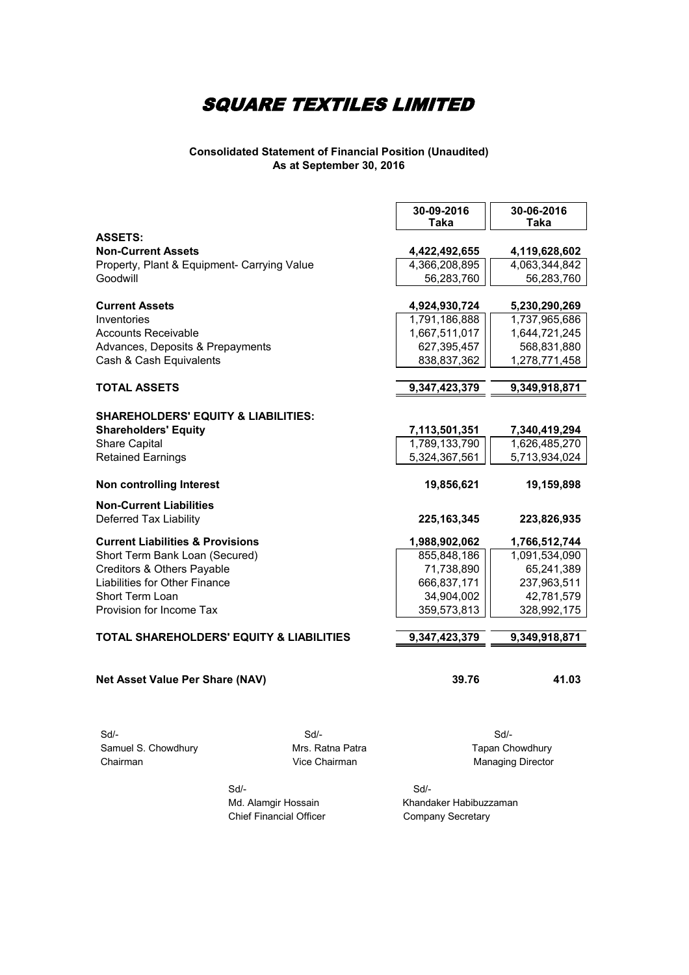#### **Consolidated Statement of Financial Position (Unaudited) As at September 30, 2016**

|                                                          |                                   | 30-09-2016<br><b>Taka</b> | 30-06-2016<br>Taka                   |
|----------------------------------------------------------|-----------------------------------|---------------------------|--------------------------------------|
| <b>ASSETS:</b><br><b>Non-Current Assets</b>              |                                   | 4,422,492,655             | 4,119,628,602                        |
| Property, Plant & Equipment- Carrying Value              |                                   | 4,366,208,895             | 4,063,344,842                        |
| Goodwill                                                 |                                   | 56,283,760                | 56,283,760                           |
| <b>Current Assets</b>                                    |                                   | 4,924,930,724             | 5,230,290,269                        |
| Inventories                                              |                                   | 1,791,186,888             | 1,737,965,686                        |
| <b>Accounts Receivable</b>                               |                                   | 1,667,511,017             | 1,644,721,245                        |
| Advances, Deposits & Prepayments                         |                                   | 627,395,457               | 568,831,880                          |
| Cash & Cash Equivalents                                  |                                   | 838,837,362               | 1,278,771,458                        |
|                                                          |                                   |                           |                                      |
| <b>TOTAL ASSETS</b>                                      |                                   | 9,347,423,379             | 9,349,918,871                        |
| <b>SHAREHOLDERS' EQUITY &amp; LIABILITIES:</b>           |                                   |                           |                                      |
| <b>Shareholders' Equity</b>                              |                                   | 7,113,501,351             | 7,340,419,294                        |
| <b>Share Capital</b>                                     |                                   | 1,789,133,790             | 1,626,485,270                        |
| <b>Retained Earnings</b>                                 |                                   | 5,324,367,561             | 5,713,934,024                        |
| Non controlling Interest                                 |                                   | 19,856,621                | 19,159,898                           |
| <b>Non-Current Liabilities</b><br>Deferred Tax Liability |                                   | 225, 163, 345             | 223,826,935                          |
| <b>Current Liabilities &amp; Provisions</b>              |                                   | 1,988,902,062             | 1,766,512,744                        |
| Short Term Bank Loan (Secured)                           |                                   | 855,848,186               | 1,091,534,090                        |
| Creditors & Others Payable                               |                                   | 71,738,890                | 65,241,389                           |
| Liabilities for Other Finance                            |                                   | 666,837,171               | 237,963,511                          |
| Short Term Loan                                          |                                   | 34,904,002                | 42,781,579                           |
| Provision for Income Tax                                 |                                   | 359,573,813               | 328,992,175                          |
| <b>TOTAL SHAREHOLDERS' EQUITY &amp; LIABILITIES</b>      |                                   | 9,347,423,379             | 9,349,918,871                        |
|                                                          |                                   |                           |                                      |
| <b>Net Asset Value Per Share (NAV)</b>                   |                                   | 39.76                     | 41.03                                |
|                                                          |                                   |                           |                                      |
| $Sd$ -                                                   | Sd/-                              |                           | Sd/-                                 |
| Samuel S. Chowdhury<br>Chairman                          | Mrs. Ratna Patra<br>Vice Chairman |                           | Tapan Chowdhury<br>Managing Director |
| Sd/-                                                     |                                   | Sd/-                      |                                      |

Chief Financial Officer Company Secretary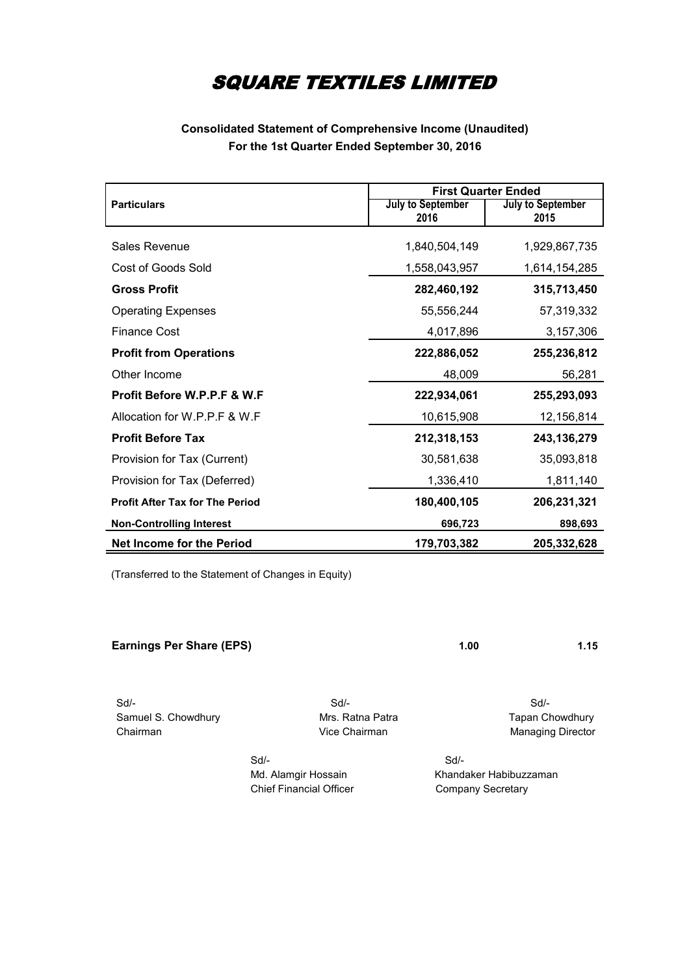#### **Consolidated Statement of Comprehensive Income (Unaudited) For the 1st Quarter Ended September 30, 2016**

|                                        | <b>First Quarter Ended</b> |                                  |  |
|----------------------------------------|----------------------------|----------------------------------|--|
| <b>Particulars</b>                     | July to September<br>2016  | <b>July to September</b><br>2015 |  |
|                                        |                            |                                  |  |
| Sales Revenue                          | 1,840,504,149              | 1,929,867,735                    |  |
| Cost of Goods Sold                     | 1,558,043,957              | 1,614,154,285                    |  |
| <b>Gross Profit</b>                    | 282,460,192                | 315,713,450                      |  |
| <b>Operating Expenses</b>              | 55,556,244                 | 57,319,332                       |  |
| <b>Finance Cost</b>                    | 4,017,896                  | 3,157,306                        |  |
| <b>Profit from Operations</b>          | 222,886,052                | 255,236,812                      |  |
| Other Income                           | 48,009                     | 56,281                           |  |
| Profit Before W.P.P.F & W.F            | 222,934,061                | 255,293,093                      |  |
| Allocation for W.P.P.F & W.F           | 10,615,908                 | 12,156,814                       |  |
| <b>Profit Before Tax</b>               | 212,318,153                | 243, 136, 279                    |  |
| Provision for Tax (Current)            | 30,581,638                 | 35,093,818                       |  |
| Provision for Tax (Deferred)           | 1,336,410                  | 1,811,140                        |  |
| <b>Profit After Tax for The Period</b> | 180,400,105                | 206,231,321                      |  |
| <b>Non-Controlling Interest</b>        | 696,723                    | 898,693                          |  |
| <b>Net Income for the Period</b>       | 179,703,382                | 205,332,628                      |  |

(Transferred to the Statement of Changes in Equity)

| <b>Earnings Per Share (EPS)</b> |                  | 1.00 | 1.15             |
|---------------------------------|------------------|------|------------------|
|                                 |                  |      |                  |
| $\sim$ $\cdot$                  | $\sim\cdot\cdot$ |      | $\sim\cdot\cdot$ |

 Sd/- Sd/- Sd/- Samuel S. Chowdhury **Mrs. Ratna Patra Chowdhury Mrs. Ratna Patra** Tapan Chowdhury Chairman Chairman Vice Chairman Managing Director

 Sd/- Sd/- Chief Financial Officer Company Secretary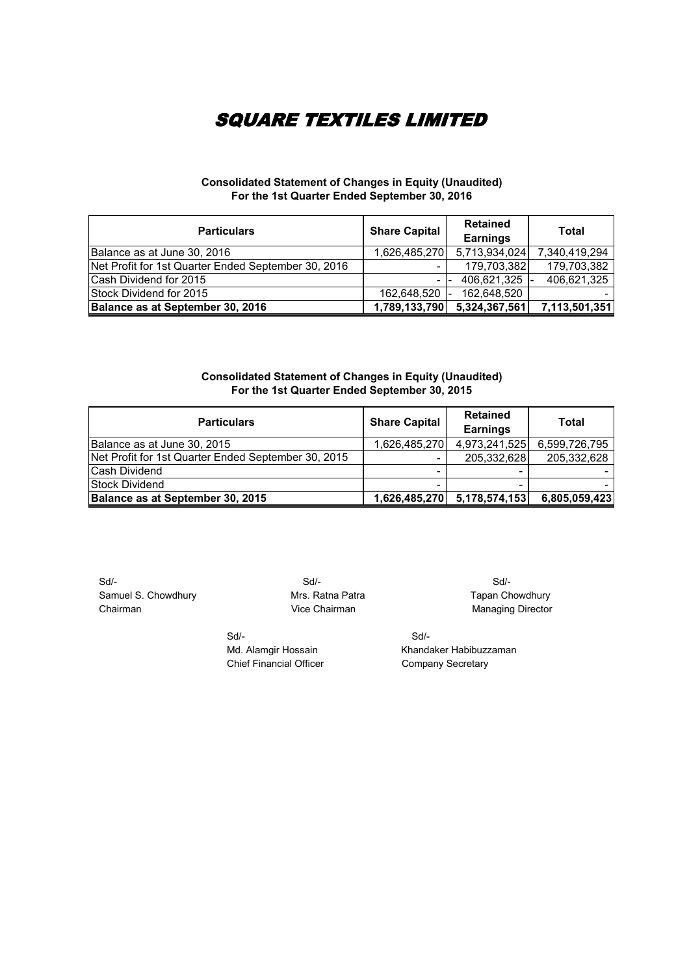#### **Consolidated Statement of Changes in Equity (Unaudited) For the 1st Quarter Ended September 30, 2016**

| <b>Particulars</b>                                  | <b>Share Capital</b> | <b>Retained</b><br><b>Earnings</b> | Total         |
|-----------------------------------------------------|----------------------|------------------------------------|---------------|
| Balance as at June 30, 2016                         | 1,626,485,270        | 5,713,934,024                      | 7,340,419,294 |
| Net Profit for 1st Quarter Ended September 30, 2016 |                      | 179,703,382                        | 179,703,382   |
| Cash Dividend for 2015                              |                      | 406,621,325                        | 406,621,325   |
| Stock Dividend for 2015                             | 162,648,520 -        | 162,648,520                        |               |
| Balance as at September 30, 2016                    | 1,789,133,790        | 5,324,367,561                      | 7,113,501,351 |

#### **Consolidated Statement of Changes in Equity (Unaudited) For the 1st Quarter Ended September 30, 2015**

| <b>Particulars</b>                                  | <b>Share Capital</b> | <b>Retained</b><br><b>Earnings</b> | Total         |
|-----------------------------------------------------|----------------------|------------------------------------|---------------|
| Balance as at June 30, 2015                         | 1,626,485,270        | 4,973,241,525                      | 6,599,726,795 |
| Net Profit for 1st Quarter Ended September 30, 2015 |                      | 205,332,628                        | 205,332,628   |
| Cash Dividend                                       |                      |                                    |               |
| <b>Stock Dividend</b>                               |                      |                                    |               |
| Balance as at September 30, 2015                    | 1,626,485,270        | 5,178,574,153                      | 6,805,059,423 |

 Sd/- Sd/- Sd/- Samuel S. Chowdhury **Mrs. Ratna Patra Chowdhury Chairman** Tapan Chowdhury<br>Chairman Managing Director

Managing Director

Sd/- Sd/-

Md. Alamgir Hossain Khandaker Habibuzzaman Chief Financial Officer Company Secretary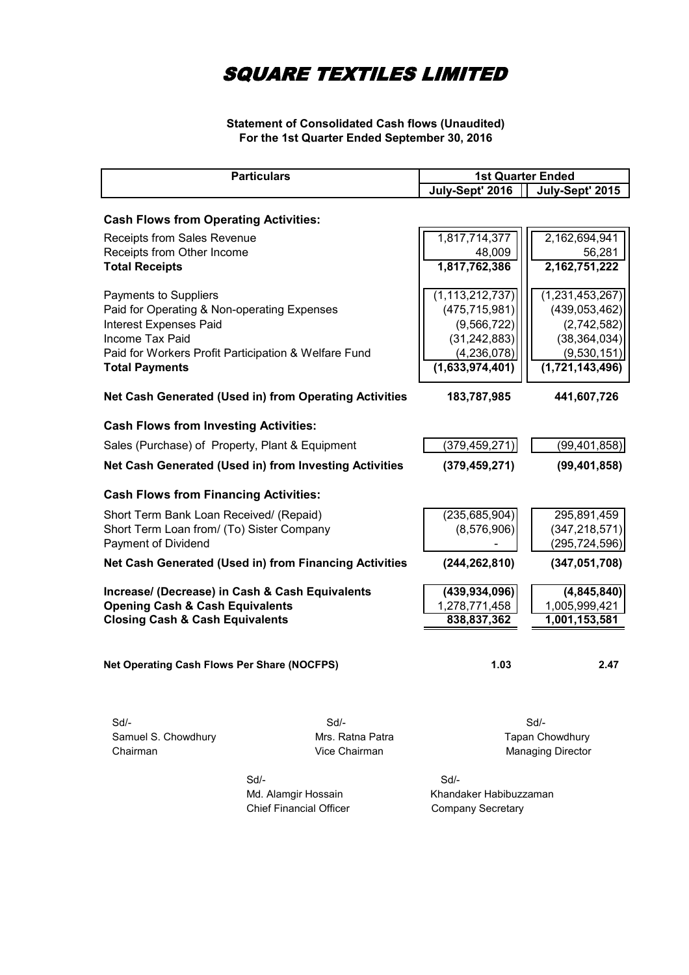#### **Statement of Consolidated Cash flows (Unaudited) For the 1st Quarter Ended September 30, 2016**

|                                                 | <b>Particulars</b>                                     | <b>1st Quarter Ended</b> |                          |
|-------------------------------------------------|--------------------------------------------------------|--------------------------|--------------------------|
|                                                 |                                                        | July-Sept' 2016          | July-Sept' 2015          |
| <b>Cash Flows from Operating Activities:</b>    |                                                        |                          |                          |
| Receipts from Sales Revenue                     |                                                        | 1,817,714,377            | 2,162,694,941            |
| Receipts from Other Income                      |                                                        | 48,009                   | 56,281                   |
| <b>Total Receipts</b>                           |                                                        | 1,817,762,386            | 2, 162, 751, 222         |
| Payments to Suppliers                           |                                                        | (1, 113, 212, 737)       | (1,231,453,267)          |
| Paid for Operating & Non-operating Expenses     |                                                        | (475, 715, 981)          | (439, 053, 462)          |
| <b>Interest Expenses Paid</b>                   |                                                        | (9, 566, 722)            | (2,742,582)              |
| Income Tax Paid                                 |                                                        | (31, 242, 883)           | (38, 364, 034)           |
|                                                 | Paid for Workers Profit Participation & Welfare Fund   | (4, 236, 078)            | (9,530,151)              |
| <b>Total Payments</b>                           |                                                        | (1,633,974,401)          | (1,721,143,496)          |
|                                                 | Net Cash Generated (Used in) from Operating Activities | 183,787,985              | 441,607,726              |
| <b>Cash Flows from Investing Activities:</b>    |                                                        |                          |                          |
| Sales (Purchase) of Property, Plant & Equipment |                                                        | (379, 459, 271)          | (99, 401, 858)           |
|                                                 | Net Cash Generated (Used in) from Investing Activities | (379, 459, 271)          | (99, 401, 858)           |
| <b>Cash Flows from Financing Activities:</b>    |                                                        |                          |                          |
| Short Term Bank Loan Received/ (Repaid)         |                                                        | (235, 685, 904)          | 295,891,459              |
| Short Term Loan from/ (To) Sister Company       |                                                        | (8,576,906)              | (347, 218, 571)          |
| Payment of Dividend                             |                                                        |                          | (295,724,596)            |
|                                                 | Net Cash Generated (Used in) from Financing Activities | (244, 262, 810)          | (347, 051, 708)          |
|                                                 | Increase/ (Decrease) in Cash & Cash Equivalents        | (439, 934, 096)          | (4,845,840)              |
| <b>Opening Cash &amp; Cash Equivalents</b>      |                                                        | 1,278,771,458            | 1,005,999,421            |
| <b>Closing Cash &amp; Cash Equivalents</b>      |                                                        | 838,837,362              | 1,001,153,581            |
|                                                 |                                                        |                          | 2.47                     |
| Net Operating Cash Flows Per Share (NOCFPS)     |                                                        | 1.03                     |                          |
|                                                 |                                                        |                          |                          |
| $Sd$ -                                          | Sd                                                     |                          | Sd/-                     |
| Samuel S. Chowdhury                             | Mrs. Ratna Patra                                       |                          | Tapan Chowdhury          |
| Chairman                                        | Vice Chairman                                          |                          | <b>Managing Director</b> |
|                                                 | Sd/-                                                   | $Sd$ -                   |                          |
|                                                 | Md. Alamgir Hossain                                    | Khandaker Habibuzzaman   |                          |
|                                                 | <b>Chief Financial Officer</b>                         | <b>Company Secretary</b> |                          |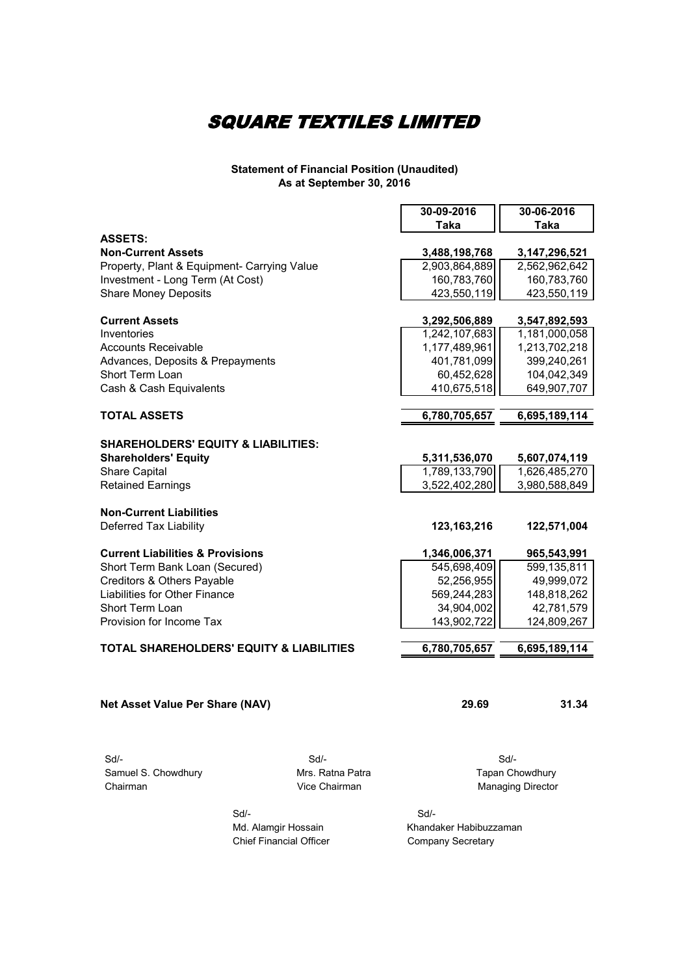#### **Statement of Financial Position (Unaudited) As at September 30, 2016**

|                                                     |                  | 30-09-2016    | 30-06-2016               |
|-----------------------------------------------------|------------------|---------------|--------------------------|
|                                                     |                  | <b>Taka</b>   | Taka                     |
| <b>ASSETS:</b>                                      |                  |               |                          |
| <b>Non-Current Assets</b>                           |                  | 3,488,198,768 | 3, 147, 296, 521         |
| Property, Plant & Equipment- Carrying Value         |                  | 2,903,864,889 | 2,562,962,642            |
| Investment - Long Term (At Cost)                    |                  | 160,783,760   | 160,783,760              |
| <b>Share Money Deposits</b>                         |                  | 423,550,119   | 423,550,119              |
| <b>Current Assets</b>                               |                  | 3,292,506,889 | 3,547,892,593            |
| Inventories                                         |                  | 1,242,107,683 | 1,181,000,058            |
| <b>Accounts Receivable</b>                          |                  | 1,177,489,961 | 1,213,702,218            |
| Advances, Deposits & Prepayments                    |                  | 401,781,099   | 399,240,261              |
| Short Term Loan                                     |                  | 60,452,628    | 104,042,349              |
| Cash & Cash Equivalents                             |                  | 410,675,518   | 649,907,707              |
|                                                     |                  |               |                          |
| <b>TOTAL ASSETS</b>                                 |                  | 6,780,705,657 | 6,695,189,114            |
| <b>SHAREHOLDERS' EQUITY &amp; LIABILITIES:</b>      |                  |               |                          |
| <b>Shareholders' Equity</b>                         |                  | 5,311,536,070 | 5,607,074,119            |
| <b>Share Capital</b>                                |                  | 1,789,133,790 | 1,626,485,270            |
| <b>Retained Earnings</b>                            |                  | 3,522,402,280 | 3,980,588,849            |
|                                                     |                  |               |                          |
| <b>Non-Current Liabilities</b>                      |                  |               |                          |
| Deferred Tax Liability                              |                  | 123, 163, 216 | 122,571,004              |
| <b>Current Liabilities &amp; Provisions</b>         |                  | 1,346,006,371 | 965,543,991              |
| Short Term Bank Loan (Secured)                      |                  | 545,698,409   | 599,135,811              |
| Creditors & Others Payable                          |                  | 52,256,955    | 49,999,072               |
| Liabilities for Other Finance                       |                  | 569,244,283   | 148,818,262              |
| Short Term Loan                                     |                  | 34,904,002    | 42,781,579               |
| Provision for Income Tax                            |                  | 143,902,722   | 124,809,267              |
| <b>TOTAL SHAREHOLDERS' EQUITY &amp; LIABILITIES</b> |                  | 6,780,705,657 | 6,695,189,114            |
|                                                     |                  |               |                          |
|                                                     |                  |               |                          |
| Net Asset Value Per Share (NAV)                     |                  | 29.69         | 31.34                    |
|                                                     |                  |               |                          |
| $Sd$ -                                              | $Sd$ -           |               | Sd/-                     |
| Samuel S. Chowdhury                                 | Mrs. Ratna Patra |               | Tapan Chowdhury          |
| Chairman                                            | Vice Chairman    |               | <b>Managing Director</b> |
|                                                     |                  |               |                          |
| Sd/-                                                |                  | Sd/-          |                          |

Chief Financial Officer Company Secretary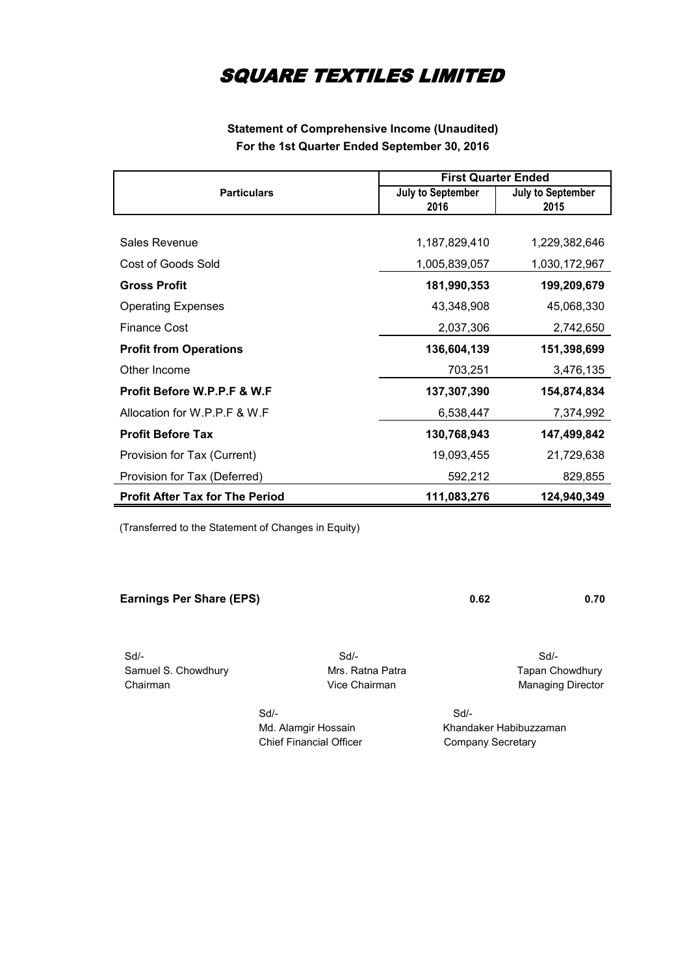#### **Statement of Comprehensive Income (Unaudited) For the 1st Quarter Ended September 30, 2016**

|                                        | <b>First Quarter Ended</b> |                          |  |
|----------------------------------------|----------------------------|--------------------------|--|
| <b>Particulars</b>                     | <b>July to September</b>   | <b>July to September</b> |  |
|                                        | 2016                       | 2015                     |  |
|                                        |                            |                          |  |
| Sales Revenue                          | 1,187,829,410              | 1,229,382,646            |  |
| Cost of Goods Sold                     | 1,005,839,057              | 1,030,172,967            |  |
| <b>Gross Profit</b>                    | 181,990,353                | 199,209,679              |  |
| <b>Operating Expenses</b>              | 43,348,908                 | 45,068,330               |  |
| <b>Finance Cost</b>                    | 2,037,306                  | 2,742,650                |  |
| <b>Profit from Operations</b>          | 136,604,139                | 151,398,699              |  |
| Other Income                           | 703,251                    | 3,476,135                |  |
| <b>Profit Before W.P.P.F &amp; W.F</b> | 137,307,390                | 154,874,834              |  |
| Allocation for W.P.P.F & W.F           | 6,538,447                  | 7,374,992                |  |
| <b>Profit Before Tax</b>               | 130,768,943                | 147,499,842              |  |
| Provision for Tax (Current)            | 19,093,455                 | 21,729,638               |  |
| Provision for Tax (Deferred)           | 592,212                    | 829,855                  |  |
| <b>Profit After Tax for The Period</b> | 111,083,276                | 124,940,349              |  |

(Transferred to the Statement of Changes in Equity)

**Earnings Per Share (EPS) 0.70 0.62** 

 Sd/- Sd/- Sd/- Samuel S. Chowdhury **Mrs. Ratna Patra Chowdhury Chairman** Tapan Chowdhury Chairman Managing Director

 Sd/- Sd/- Chief Financial Officer Company Secretary

Managing Director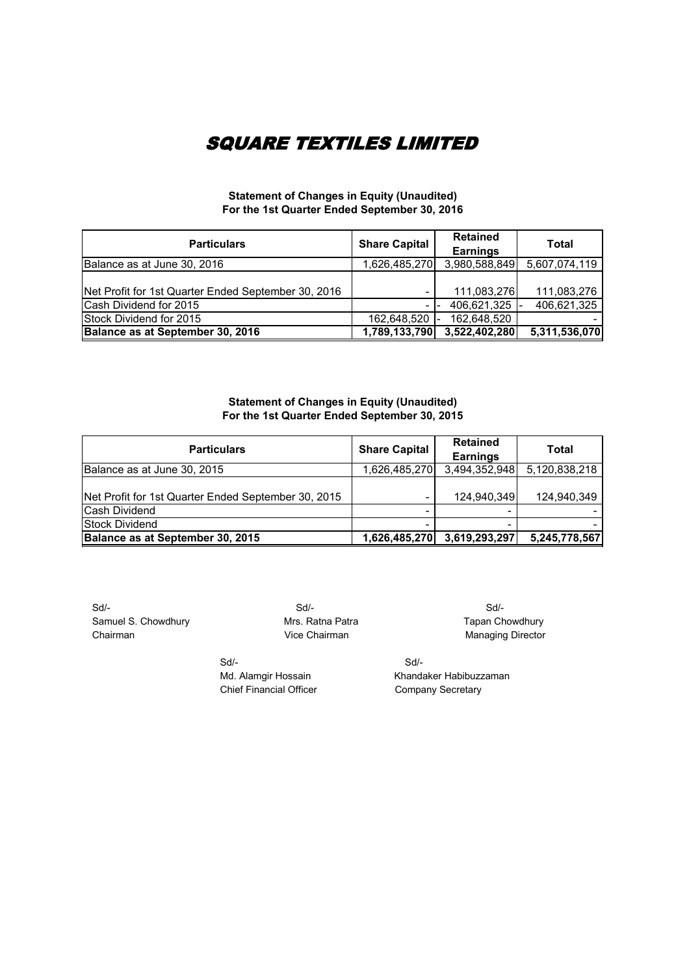#### **Statement of Changes in Equity (Unaudited) For the 1st Quarter Ended September 30, 2016**

| <b>Particulars</b>                                  | <b>Share Capital</b> | <b>Retained</b><br><b>Earnings</b> | Total         |
|-----------------------------------------------------|----------------------|------------------------------------|---------------|
| Balance as at June 30, 2016                         | 1,626,485,270        | 3,980,588,849                      | 5,607,074,119 |
| Net Profit for 1st Quarter Ended September 30, 2016 |                      | 111,083,276                        | 111,083,276   |
| Cash Dividend for 2015                              |                      | 406,621,325                        | 406,621,325   |
| Stock Dividend for 2015                             | 162,648,520 -        | 162,648,520                        |               |
| Balance as at September 30, 2016                    | 1,789,133,790        | 3,522,402,280                      | 5,311,536,070 |

#### **Statement of Changes in Equity (Unaudited) For the 1st Quarter Ended September 30, 2015**

| <b>Particulars</b>                                  | <b>Share Capital</b> | <b>Retained</b><br><b>Earnings</b> | Total         |
|-----------------------------------------------------|----------------------|------------------------------------|---------------|
| Balance as at June 30, 2015                         | 1,626,485,270        | 3,494,352,948                      | 5,120,838,218 |
| Net Profit for 1st Quarter Ended September 30, 2015 |                      | 124,940,349                        | 124,940,349   |
| <b>Cash Dividend</b>                                |                      |                                    |               |
| Stock Dividend                                      |                      |                                    |               |
| Balance as at September 30, 2015                    | 1,626,485,270        | 3,619,293,297                      | 5,245,778,567 |

 Sd/- Sd/- Sd/- Samuel S. Chowdhury **Mrs. Ratna Patra** Mrs. Ratna Patra Tapan Chowdhury Chairman Chairman Vice Chairman Managing Director

 Sd/- Sd/- Chief Financial Officer

Md. Alamgir Hossain Khandaker Habibuzzaman<br>Chief Financial Officer Company Secretary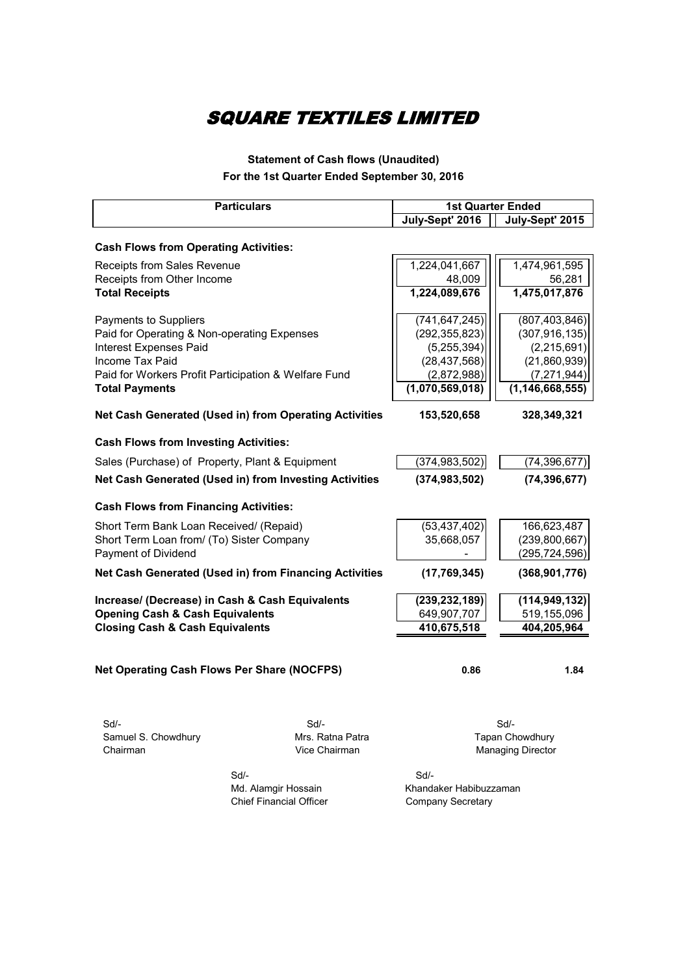### **Statement of Cash flows (Unaudited) For the 1st Quarter Ended September 30, 2016**

| <b>Particulars</b>                                     |                  | <b>1st Quarter Ended</b> |                          |
|--------------------------------------------------------|------------------|--------------------------|--------------------------|
|                                                        |                  | July-Sept' 2016          | July-Sept' 2015          |
|                                                        |                  |                          |                          |
| <b>Cash Flows from Operating Activities:</b>           |                  |                          |                          |
| <b>Receipts from Sales Revenue</b>                     |                  | 1,224,041,667            | 1,474,961,595            |
| Receipts from Other Income                             |                  | 48,009                   | 56,281                   |
| <b>Total Receipts</b>                                  |                  | 1,224,089,676            | 1,475,017,876            |
| Payments to Suppliers                                  |                  | (741, 647, 245)          | (807, 403, 846)          |
| Paid for Operating & Non-operating Expenses            |                  | (292, 355, 823)          | (307, 916, 135)          |
| <b>Interest Expenses Paid</b>                          |                  | (5, 255, 394)            | (2,215,691)              |
| Income Tax Paid                                        |                  | (28, 437, 568)           | (21,860,939)             |
| Paid for Workers Profit Participation & Welfare Fund   |                  | (2,872,988)              | (7, 271, 944)            |
| <b>Total Payments</b>                                  |                  | (1,070,569,018)          | (1, 146, 668, 555)       |
| Net Cash Generated (Used in) from Operating Activities |                  | 153,520,658              | 328,349,321              |
| <b>Cash Flows from Investing Activities:</b>           |                  |                          |                          |
| Sales (Purchase) of Property, Plant & Equipment        |                  | (374, 983, 502)          | (74, 396, 677)           |
| Net Cash Generated (Used in) from Investing Activities |                  | (374, 983, 502)          | (74, 396, 677)           |
| <b>Cash Flows from Financing Activities:</b>           |                  |                          |                          |
| Short Term Bank Loan Received/ (Repaid)                |                  | (53, 437, 402)           | 166,623,487              |
| Short Term Loan from/ (To) Sister Company              |                  | 35,668,057               | (239, 800, 667)          |
| Payment of Dividend                                    |                  |                          | (295, 724, 596)          |
| Net Cash Generated (Used in) from Financing Activities |                  | (17, 769, 345)           | (368, 901, 776)          |
| Increase/ (Decrease) in Cash & Cash Equivalents        |                  | (239, 232, 189)          | (114, 949, 132)          |
| <b>Opening Cash &amp; Cash Equivalents</b>             |                  | 649,907,707              | 519,155,096              |
| <b>Closing Cash &amp; Cash Equivalents</b>             |                  | 410,675,518              | 404,205,964              |
| <b>Net Operating Cash Flows Per Share (NOCFPS)</b>     |                  | 0.86                     | 1.84                     |
| Sd/-                                                   | $Sd$ -           |                          | $Sd$ -                   |
| Samuel S. Chowdhury                                    | Mrs. Ratna Patra |                          | Tapan Chowdhury          |
| Chairman                                               | Vice Chairman    |                          | <b>Managing Director</b> |
|                                                        |                  |                          |                          |

 Sd/- Sd/- Chief Financial Officer

Md. Alamgir Hossain Khandaker Habibuzzaman<br>Chief Financial Officer Company Secretary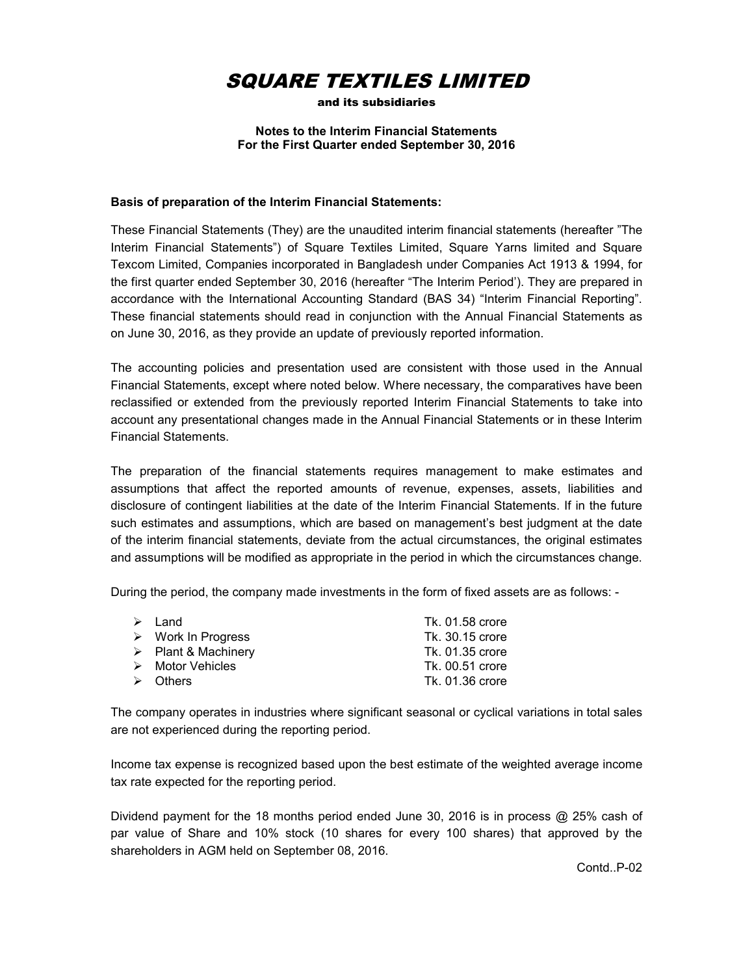

and its subsidiaries

#### **Notes to the Interim Financial Statements For the First Quarter ended September 30, 2016**

#### **Basis of preparation of the Interim Financial Statements:**

These Financial Statements (They) are the unaudited interim financial statements (hereafter "The Interim Financial Statements") of Square Textiles Limited, Square Yarns limited and Square Texcom Limited, Companies incorporated in Bangladesh under Companies Act 1913 & 1994, for the first quarter ended September 30, 2016 (hereafter "The Interim Period'). They are prepared in accordance with the International Accounting Standard (BAS 34) "Interim Financial Reporting". These financial statements should read in conjunction with the Annual Financial Statements as on June 30, 2016, as they provide an update of previously reported information.

The accounting policies and presentation used are consistent with those used in the Annual Financial Statements, except where noted below. Where necessary, the comparatives have been reclassified or extended from the previously reported Interim Financial Statements to take into account any presentational changes made in the Annual Financial Statements or in these Interim Financial Statements.

The preparation of the financial statements requires management to make estimates and assumptions that affect the reported amounts of revenue, expenses, assets, liabilities and disclosure of contingent liabilities at the date of the Interim Financial Statements. If in the future such estimates and assumptions, which are based on management's best judgment at the date of the interim financial statements, deviate from the actual circumstances, the original estimates and assumptions will be modified as appropriate in the period in which the circumstances change.

During the period, the company made investments in the form of fixed assets are as follows: -

| $\triangleright$ Land              | Tk. 01.58 crore |
|------------------------------------|-----------------|
| $\triangleright$ Work In Progress  | Tk. 30.15 crore |
| $\triangleright$ Plant & Machinery | Tk. 01.35 crore |
| $\triangleright$ Motor Vehicles    | Tk. 00.51 crore |
| $\triangleright$ Others            | Tk. 01.36 crore |

The company operates in industries where significant seasonal or cyclical variations in total sales are not experienced during the reporting period.

Income tax expense is recognized based upon the best estimate of the weighted average income tax rate expected for the reporting period.

Dividend payment for the 18 months period ended June 30, 2016 is in process @ 25% cash of par value of Share and 10% stock (10 shares for every 100 shares) that approved by the shareholders in AGM held on September 08, 2016.